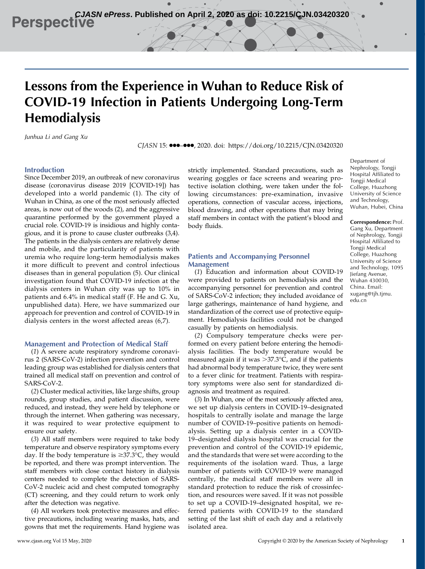**CJASN ePress. Published on April 2, 2020 as doi: 10.2215/CJN.03420320**<br> **Perspective** 

# Lessons from the Experience in Wuhan to Reduce Risk of COVID-19 Infection in Patients Undergoing Long-Term Hemodialysis

Junhua Li and Gang Xu

CJASN 15: 000-000, 2020. doi:<https://doi.org/10.2215/CJN.03420320>

## Introduction

Since December 2019, an outbreak of new coronavirus disease (coronavirus disease 2019 [COVID-19]) has developed into a world pandemic (1). The city of Wuhan in China, as one of the most seriously affected areas, is now out of the woods (2), and the aggressive quarantine performed by the government played a crucial role. COVID-19 is insidious and highly contagious, and it is prone to cause cluster outbreaks (3,4). The patients in the dialysis centers are relatively dense and mobile, and the particularity of patients with uremia who require long-term hemodialysis makes it more difficult to prevent and control infectious diseases than in general population (5). Our clinical investigation found that COVID-19 infection at the dialysis centers in Wuhan city was up to 10% in patients and 6.4% in medical staff (F. He and G. Xu, unpublished data). Here, we have summarized our approach for prevention and control of COVID-19 in dialysis centers in the worst affected areas (6,7).

## Management and Protection of Medical Staff

(1) A severe acute respiratory syndrome coronavirus 2 (SARS-CoV-2) infection prevention and control leading group was established for dialysis centers that trained all medical staff on prevention and control of SARS-CoV-2.

(2) Cluster medical activities, like large shifts, group rounds, group studies, and patient discussion, were reduced, and instead, they were held by telephone or through the internet. When gathering was necessary, it was required to wear protective equipment to ensure our safety.

(3) All staff members were required to take body temperature and observe respiratory symptoms every day. If the body temperature is  $\geq 37.3^{\circ}C$ , they would be reported, and there was prompt intervention. The staff members with close contact history in dialysis centers needed to complete the detection of SARS-CoV-2 nucleic acid and chest computed tomography (CT) screening, and they could return to work only after the detection was negative.

(4) All workers took protective measures and effective precautions, including wearing masks, hats, and gowns that met the requirements. Hand hygiene was

strictly implemented. Standard precautions, such as wearing goggles or face screens and wearing protective isolation clothing, were taken under the following circumstances: pre-examination, invasive operations, connection of vascular access, injections, blood drawing, and other operations that may bring staff members in contact with the patient's blood and body fluids.

# Patients and Accompanying Personnel Management

(1) Education and information about COVID-19 were provided to patients on hemodialysis and the accompanying personnel for prevention and control of SARS-CoV-2 infection; they included avoidance of large gatherings, maintenance of hand hygiene, and standardization of the correct use of protective equipment. Hemodialysis facilities could not be changed casually by patients on hemodialysis.

(2) Compulsory temperature checks were performed on every patient before entering the hemodialysis facilities. The body temperature would be measured again if it was  $>37.3$ °C, and if the patients had abnormal body temperature twice, they were sent to a fever clinic for treatment. Patients with respiratory symptoms were also sent for standardized diagnosis and treatment as required.

(3) In Wuhan, one of the most seriously affected area, we set up dialysis centers in COVID-19–designated hospitals to centrally isolate and manage the large number of COVID-19–positive patients on hemodialysis. Setting up a dialysis center in a COVID-19–designated dialysis hospital was crucial for the prevention and control of the COVID-19 epidemic, and the standards that were set were according to the requirements of the isolation ward. Thus, a large number of patients with COVID-19 were managed centrally, the medical staff members were all in standard protection to reduce the risk of crossinfection, and resources were saved. If it was not possible to set up a COVID-19–designated hospital, we referred patients with COVID-19 to the standard setting of the last shift of each day and a relatively isolated area.

Department of Nephrology, Tongji Hospital Affiliated to Tongji Medical College, Huazhong University of Science and Technology, Wuhan, Hubei, China

Correspondence: Prof. Gang Xu, Department of Nephrology, Tongji Hospital Affiliated to Tongji Medical College, Huazhong University of Science and Technology, 1095 Jiefang Avenue, Wuhan 430030, China. Email: [xugang@tjh.tjmu.](mailto:xugang@tjh.tjmu.edu.cn) [edu.cn](mailto:xugang@tjh.tjmu.edu.cn)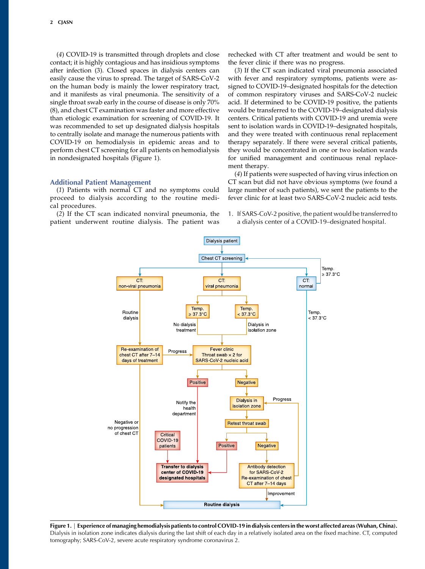(4) COVID-19 is transmitted through droplets and close contact; it is highly contagious and has insidious symptoms after infection (3). Closed spaces in dialysis centers can easily cause the virus to spread. The target of SARS-CoV-2 on the human body is mainly the lower respiratory tract, and it manifests as viral pneumonia. The sensitivity of a single throat swab early in the course of disease is only 70% (8), and chest CT examination was faster and more effective than etiologic examination for screening of COVID-19. It was recommended to set up designated dialysis hospitals to centrally isolate and manage the numerous patients with COVID-19 on hemodialysis in epidemic areas and to perform chest CT screening for all patients on hemodialysis in nondesignated hospitals (Figure 1).

## Additional Patient Management

(1) Patients with normal CT and no symptoms could proceed to dialysis according to the routine medical procedures.

(2) If the CT scan indicated nonviral pneumonia, the patient underwent routine dialysis. The patient was rechecked with CT after treatment and would be sent to the fever clinic if there was no progress.

(3) If the CT scan indicated viral pneumonia associated with fever and respiratory symptoms, patients were assigned to COVID-19–designated hospitals for the detection of common respiratory viruses and SARS-CoV-2 nucleic acid. If determined to be COVID-19 positive, the patients would be transferred to the COVID-19–designated dialysis centers. Critical patients with COVID-19 and uremia were sent to isolation wards in COVID-19–designated hospitals, and they were treated with continuous renal replacement therapy separately. If there were several critical patients, they would be concentrated in one or two isolation wards for unified management and continuous renal replacement therapy.

(4) If patients were suspected of having virus infection on CT scan but did not have obvious symptoms (we found a large number of such patients), we sent the patients to the fever clinic for at least two SARS-CoV-2 nucleic acid tests.

1. If SARS-CoV-2 positive, the patient would be transferred to a dialysis center of a COVID-19–designated hospital.



Figure 1. | Experience of managing hemodialysis patients to control COVID-19 in dialysis centers in the worst affected areas (Wuhan, China). Dialysis in isolation zone indicates dialysis during the last shift of each day in a relatively isolated area on the fixed machine. CT, computed tomography; SARS-CoV-2, severe acute respiratory syndrome coronavirus 2.